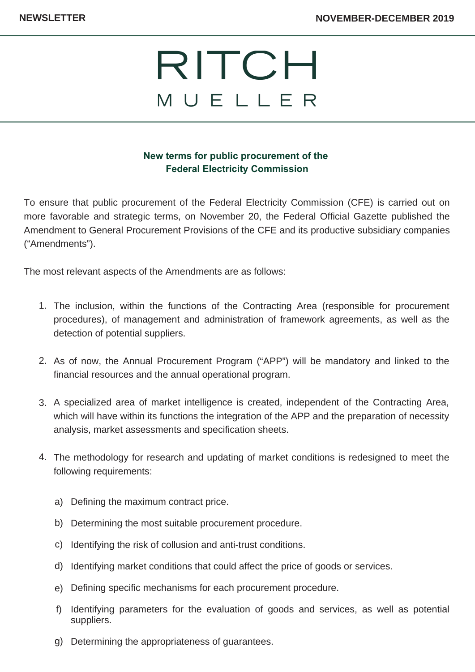

## **New terms for public procurement of the Federal Electricity Commission**

To ensure that public procurement of the Federal Electricity Commission (CFE) is carried out on more favorable and strategic terms, on November 20, the Federal Official Gazette published the Amendment to General Procurement Provisions of the CFE and its productive subsidiary companies ("Amendments").

The most relevant aspects of the Amendments are as follows:

- 1. The inclusion, within the functions of the Contracting Area (responsible for procurement procedures), of management and administration of framework agreements, as well as the detection of potential suppliers.
- 2. As of now, the Annual Procurement Program ("APP") will be mandatory and linked to the financial resources and the annual operational program.
- A specialized area of market intelligence is created, independent of the Contracting Area, 3. which will have within its functions the integration of the APP and the preparation of necessity analysis, market assessments and specification sheets.
- The methodology for research and updating of market conditions is redesigned to meet the 4. following requirements:
	- a) Defining the maximum contract price.
	- b) Determining the most suitable procurement procedure.
	- c) Identifying the risk of collusion and anti-trust conditions.
	- d) Identifying market conditions that could affect the price of goods or services.
	- Defining specific mechanisms for each procurement procedure. e)
	- f) Identifying parameters for the evaluation of goods and services, as well as potential suppliers.
	- g) Determining the appropriateness of guarantees.